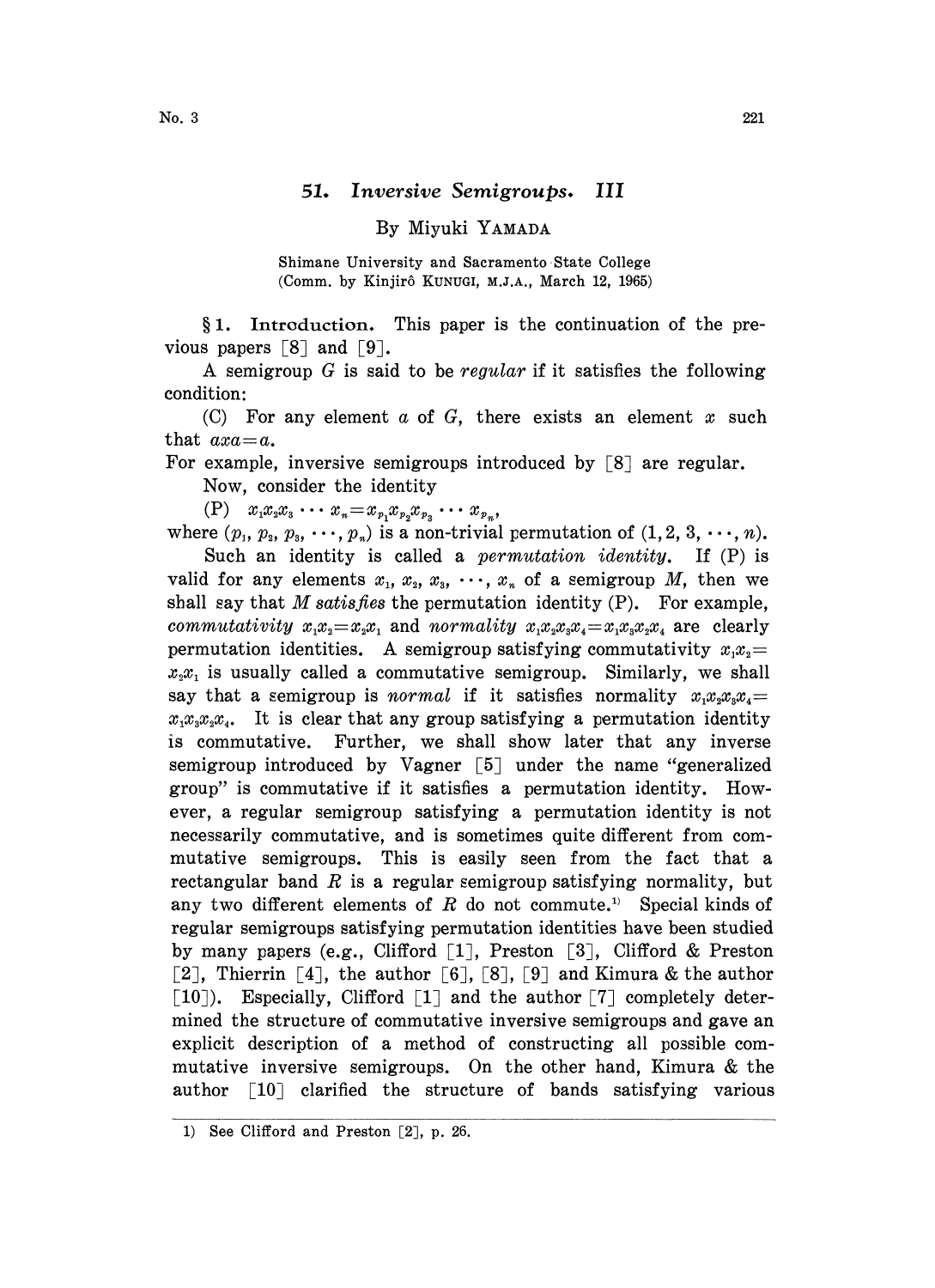## 51. Inversive Semigroups. III

## By Miyuki YAMADA

Shimane University and Sacramento State College (Comm. by Kinjirô KUNUGI, M.J.A., March 12, 1965)

1. Introduction. This paper is the continuation of the previous papers  $\lceil 8 \rceil$  and  $\lceil 9 \rceil$ .

A semigroup  $G$  is said to be regular if it satisfies the following condition:

(C) For any element  $a$  of  $G$ , there exists an element  $x$  such that  $axa = a$ .

For example, inversive semigroups introduced by  $\lceil 8 \rceil$  are regular.

Now, consider the identity

(P)  $x_1x_2x_3 \cdots x_n = x_{p_1}x_{p_2}x_{p_3} \cdots x_{p_n}$ 

where  $(p_1, p_2, p_3, \dots, p_n)$  is a non-trivial permutation of  $(1, 2, 3, \dots, n)$ .

Such an identity is called a *permutation identity*. If (P) is valid for any elements  $x_1, x_2, x_3, \cdots, x_n$  of a semigroup M, then we shall say that M satisfies the permutation identity  $(P)$ . For example, commutativity  $x_1x_2 = x_2x_1$  and normality  $x_1x_2x_3x_4 = x_1x_3x_2x_4$  are clearly permutation identities. A semigroup satisfying commutativity  $x_1x_2 =$  $x_2x_1$  is usually called a commutative semigroup. Similarly, we shall say that a semigroup is normal if it satisfies normality  $x_1x_2x_3x_4 =$  $x_1x_3x_2x_4$ . It is clear that any group satisfying a permutation identity is commutative. Further, we shall show later that any inverse semigroup introduced by Vagner [5] under the name "generalized group" is commutative if it satisfies a permutation identity. However, a regular semigroup satisfying a permutation identity is not necessarily commutative, and is sometimes quite different from commutative semigroups. This is easily seen from the fact that a rectangular band  $R$  is a regular semigroup satisfying normality, but any two different elements of  $R$  do not commute.<sup>1</sup> Special kinds of regular semigroups satisfying permutation identities have been studied by many papers (e.g., Clifford [1], Preston [3], Clifford & Preston [2], Thierrin [4], the author [6], [8], [9] and Kimura & the author  $[10]$ . Especially, Clifford  $[1]$  and the author  $[7]$  completely determined the structure of commutative inversive semigroups and gave an explicit description of a method of constructing all possible commutative inversive semigroups. On the other hand, Kimura & the author  $\lceil 10 \rceil$  clarified the structure of bands satisfying various

<sup>1)</sup> See Clifford and Preston [2], p. 26.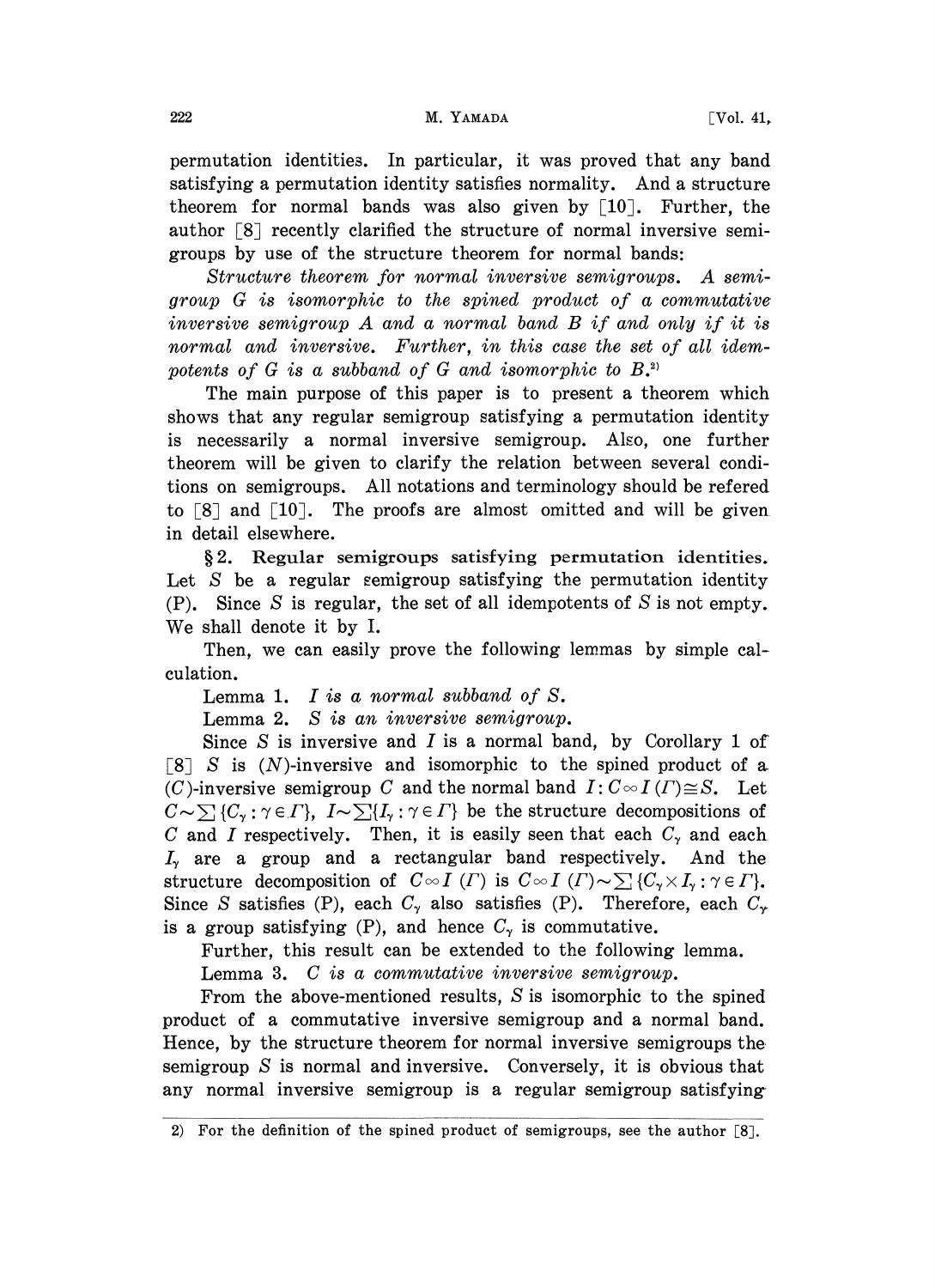222 M. YAMADA [Vol. 41,

permutation identities. In particular, it was proved that any band satisfying a permutation identity satisfies normality. And a structure theorem for normal bands was also given by  $[10]$ . Further, the author  $\lceil 8 \rceil$  recently clarified the structure of normal inversive semigroups by use of the structure theorem for normal bands:

Structure theorem for normal inversive semigroups. A semigroup G is isomorphic to the spined product of a commutative inversive semigroup A and <sup>a</sup> normal band B if and only if it is normal and inversive. Further, in this case the set of all idempotents of G is a subband of G and isomorphic to  $B^{(2)}$ .

The main purpose of this paper is to present a theorem which shows that any regular semigroup satisfying a permutation identity is necessarily a normal inversive semigroup. Also, one further theorem will be given to clarify the relation between several conditions on semigroups. All notations and terminology should be refered to  $\lceil 8 \rceil$  and  $\lceil 10 \rceil$ . The proofs are almost omitted and will be given in detail elsewhere.

2. Regular semigroups satisfying permutation identities. Let  $S$  be a regular semigroup satisfying the permutation identity (P). Since S is regular, the set of all idempotents of S is not empty. We shall denote it by I.

Then, we can easily prove the following lemmas by simple calculation.

Lemma 1.  $I$  is a normal subband of  $S$ .

Lemma 2. S is an inversive semigroup.

Since S is inversive and I is a normal band, by Corollary 1 of [8] S is  $(N)$ -inversive and isomorphic to the spined product of a (C)-inversive semigroup C and the normal band  $I: C \in I(\Gamma) \cong S$ . Let  $C \sim \sum \{C_{\gamma}: \gamma \in \Gamma\}, \ I \sim \sum \{I_{\gamma}: \gamma \in \Gamma\}$  be the structure decompositions of C and I respectively. Then, it is easily seen that each  $C_{\gamma}$  and each  $I<sub>y</sub>$  are a group and a rectangular band respectively. And the structure decomposition of  $C \sim I(T)$  is  $C \sim I(T) \sim \sum \{C_{\gamma} \times I_{\gamma} : \gamma \in \Gamma\}.$ Since S satisfies (P), each  $C_{\gamma}$  also satisfies (P). Therefore, each  $C_{\gamma}$ is a group satisfying (P), and hence  $C_{\gamma}$  is commutative.

Further, this result can be extended to the following lemma. Lemma 3. C is a commutative inversive semigroup.

From the above-mentioned results, S is isomorphic to the spined product of a commutative inversive semigroup and a normal band. Hence, by the structure theorem for normal inversive semigroups the. semigroup S is normal and inversive. Conversely, it is obvious that any normal inversive semigroup is a regular semigroup satisfying

<sup>2)</sup> For the definition of the spined product of semigroups, see the author  $[8]$ .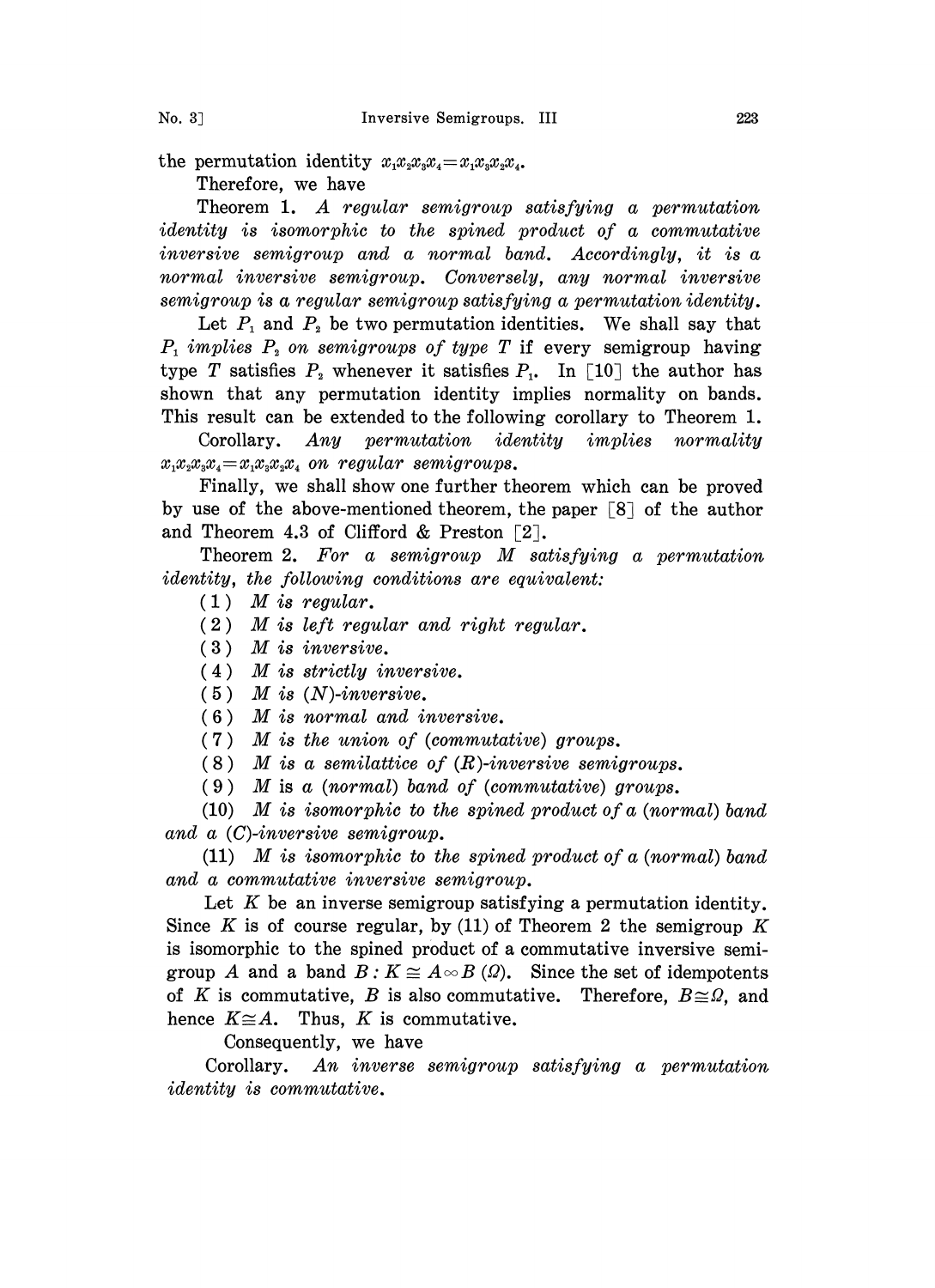the permutation identity  $v$ ersive Semigroups. $x_1x_2x_3x_4 = x_1x_3x_2x_4.$ 

Therefore, we have

Theorem 1. A regular semigroup satisfying <sup>a</sup> permutation identity is isomorphic to the spined product of a commutative inversive semigroup and a normal band. Accordingly, it is a normal inversive semigroup. Conversely, any normal inversive  $s$ emigroup is a regular semigroup satisfying a permutation identity.

Let  $P_1$  and  $P_2$  be two permutation identities. We shall say that  $P_1$  implies  $P_2$  on semigroups of type T if every semigroup having type T satisfies  $P_2$  whenever it satisfies  $P_1$ . In [10] the author has shown that any permutation identity implies normality on bands. This result can be extended to the following corollary to Theorem 1.

Corollary. Any permutation identity implies normality  $x_1x_2x_3x_4=x_1x_3x_2x_4$  on regular semigroups.

Finally, we shall show one further theorem which can be proved by use of the above-mentioned theorem, the paper  $\lceil 8 \rceil$  of the author and Theorem 4.3 of Clifford & Preston  $\lceil 2 \rceil$ .

Theorem 2. For <sup>a</sup> semigroup M satisfying <sup>a</sup> permutation identity, the following conditions are equivalent:

- $(1)$  *M* is regular.
- (2) M is left regular and right regular.
- $(3)$  *M* is inversive.
- $(4)$  M is strictly inversive.
- $(5)$  *M* is  $(N)$ -inversive.
- <sup>6</sup> ) M is normal and inversive.
- $(7)$  M is the union of (commutative) groups.
- $(8)$  M is a semilattice of  $(R)$ -inversive semigroups.
- $(9)$  M is a (normal) band of (commutative) groups.

(10) M is isomorphic to the spined product of <sup>a</sup> (normal) band and a (C)-inversive semigroup.

(11)  $M$  is isomorphic to the spined product of a (normal) band and a commutative inversive semigroup.

Let  $K$  be an inverse semigroup satisfying a permutation identity. Since K is of course regular, by (11) of Theorem 2 the semigroup K is isomorphic to the spined product of a commutative inversive semigroup A and a band  $B: K \cong A \otimes B(\Omega)$ . Since the set of idempotents is isomorphic to the spined product of a commutative inversive semigroup A and a band  $B: K \cong A \otimes B(\Omega)$ . Since the set of idempotents of K is commutative, B is also commutative. Therefore,  $B \cong \Omega$ , and hence  $K \cong A$ . Thus, K is commutative.

Consequently, we have

Corollary. An inverse semigroup satisfying a permutation identity is commutative.